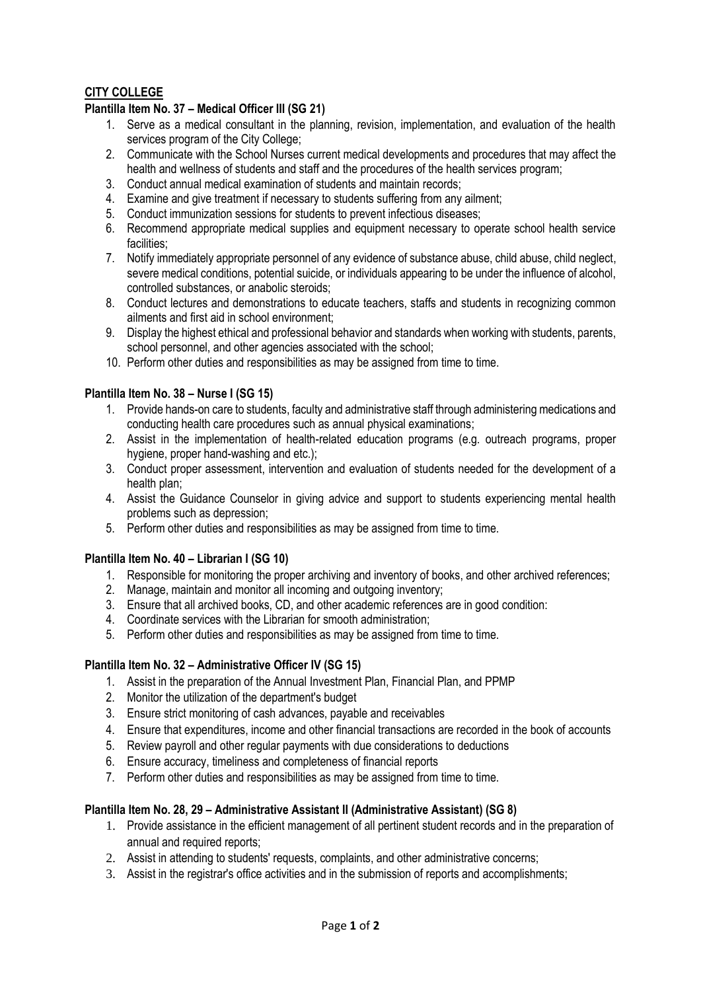# **CITY COLLEGE**

## **Plantilla Item No. 37 – Medical Officer III (SG 21)**

- 1. Serve as a medical consultant in the planning, revision, implementation, and evaluation of the health services program of the City College:
- 2. Communicate with the School Nurses current medical developments and procedures that may affect the health and wellness of students and staff and the procedures of the health services program;
- 3. Conduct annual medical examination of students and maintain records;
- 4. Examine and give treatment if necessary to students suffering from any ailment;
- 5. Conduct immunization sessions for students to prevent infectious diseases;
- 6. Recommend appropriate medical supplies and equipment necessary to operate school health service facilities;
- 7. Notify immediately appropriate personnel of any evidence of substance abuse, child abuse, child neglect, severe medical conditions, potential suicide, or individuals appearing to be under the influence of alcohol, controlled substances, or anabolic steroids;
- 8. Conduct lectures and demonstrations to educate teachers, staffs and students in recognizing common ailments and first aid in school environment;
- 9. Display the highest ethical and professional behavior and standards when working with students, parents, school personnel, and other agencies associated with the school;
- 10. Perform other duties and responsibilities as may be assigned from time to time.

#### **Plantilla Item No. 38 – Nurse I (SG 15)**

- 1. Provide hands-on care to students, faculty and administrative staff through administering medications and conducting health care procedures such as annual physical examinations;
- 2. Assist in the implementation of health-related education programs (e.g. outreach programs, proper hygiene, proper hand-washing and etc.);
- 3. Conduct proper assessment, intervention and evaluation of students needed for the development of a health plan;
- 4. Assist the Guidance Counselor in giving advice and support to students experiencing mental health problems such as depression;
- 5. Perform other duties and responsibilities as may be assigned from time to time.

#### **Plantilla Item No. 40 – Librarian I (SG 10)**

- 1. Responsible for monitoring the proper archiving and inventory of books, and other archived references;
- 2. Manage, maintain and monitor all incoming and outgoing inventory;
- 3. Ensure that all archived books, CD, and other academic references are in good condition:
- 4. Coordinate services with the Librarian for smooth administration;
- 5. Perform other duties and responsibilities as may be assigned from time to time.

### **Plantilla Item No. 32 – Administrative Officer IV (SG 15)**

- 1. Assist in the preparation of the Annual Investment Plan, Financial Plan, and PPMP
- 2. Monitor the utilization of the department's budget
- 3. Ensure strict monitoring of cash advances, payable and receivables
- 4. Ensure that expenditures, income and other financial transactions are recorded in the book of accounts
- 5. Review payroll and other regular payments with due considerations to deductions
- 6. Ensure accuracy, timeliness and completeness of financial reports
- 7. Perform other duties and responsibilities as may be assigned from time to time.

#### **Plantilla Item No. 28, 29 – Administrative Assistant II (Administrative Assistant) (SG 8)**

- 1. Provide assistance in the efficient management of all pertinent student records and in the preparation of annual and required reports;
- 2. Assist in attending to students' requests, complaints, and other administrative concerns;
- 3. Assist in the registrar's office activities and in the submission of reports and accomplishments;